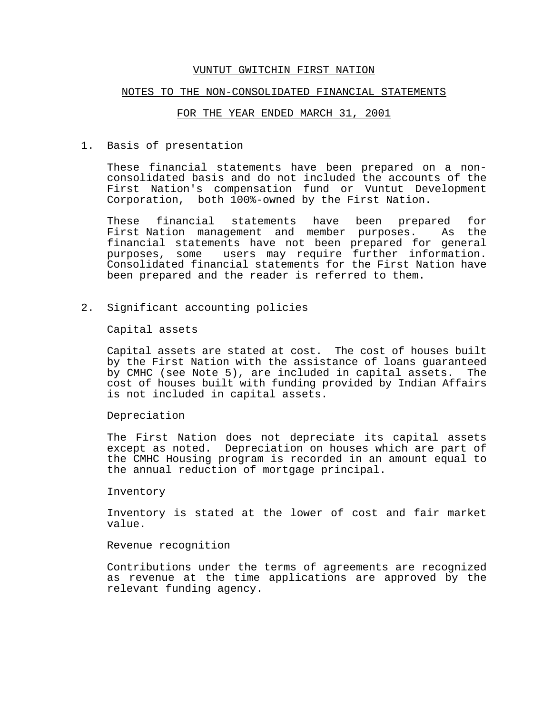#### NOTES TO THE NON-CONSOLIDATED FINANCIAL STATEMENTS

## FOR THE YEAR ENDED MARCH 31, 2001

1. Basis of presentation

These financial statements have been prepared on a nonconsolidated basis and do not included the accounts of the First Nation's compensation fund or Vuntut Development Corporation, both 100%-owned by the First Nation.

These financial statements have been prepared for First Nation management and member purposes. As the financial statements have not been prepared for general purposes, some users may require further information. Consolidated financial statements for the First Nation have been prepared and the reader is referred to them.

2. Significant accounting policies

Capital assets

Capital assets are stated at cost. The cost of houses built by the First Nation with the assistance of loans guaranteed by CMHC (see Note 5), are included in capital assets. The cost of houses built with funding provided by Indian Affairs is not included in capital assets.

Depreciation

The First Nation does not depreciate its capital assets except as noted. Depreciation on houses which are part of the CMHC Housing program is recorded in an amount equal to the annual reduction of mortgage principal.

#### Inventory

Inventory is stated at the lower of cost and fair market value.

Revenue recognition

Contributions under the terms of agreements are recognized as revenue at the time applications are approved by the relevant funding agency.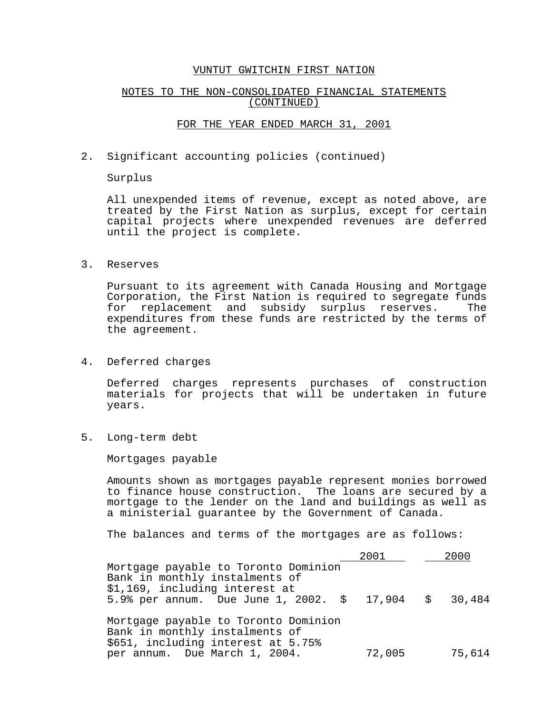### NOTES TO THE NON-CONSOLIDATED FINANCIAL STATEMENTS (CONTINUED)

### FOR THE YEAR ENDED MARCH 31, 2001

2. Significant accounting policies (continued)

Surplus

All unexpended items of revenue, except as noted above, are treated by the First Nation as surplus, except for certain capital projects where unexpended revenues are deferred until the project is complete.

3. Reserves

Pursuant to its agreement with Canada Housing and Mortgage Corporation, the First Nation is required to segregate funds for replacement and subsidy surplus reserves. The expenditures from these funds are restricted by the terms of the agreement.

4. Deferred charges

Deferred charges represents purchases of construction materials for projects that will be undertaken in future years.

5. Long-term debt

Mortgages payable

Amounts shown as mortgages payable represent monies borrowed to finance house construction. The loans are secured by a mortgage to the lender on the land and buildings as well as a ministerial guarantee by the Government of Canada.

The balances and terms of the mortgages are as follows:

|                                                                                                              | 2001   |  | 2000   |  |  |
|--------------------------------------------------------------------------------------------------------------|--------|--|--------|--|--|
| Mortgage payable to Toronto Dominion<br>Bank in monthly instalments of<br>\$1,169, including interest at     |        |  |        |  |  |
| 5.9% per annum. Due June 1, 2002. $$ 17,904$ $$ 30,484$                                                      |        |  |        |  |  |
| Mortgage payable to Toronto Dominion<br>Bank in monthly instalments of<br>\$651, including interest at 5.75% |        |  |        |  |  |
| per annum. Due March 1, 2004.                                                                                | 72,005 |  | 75,614 |  |  |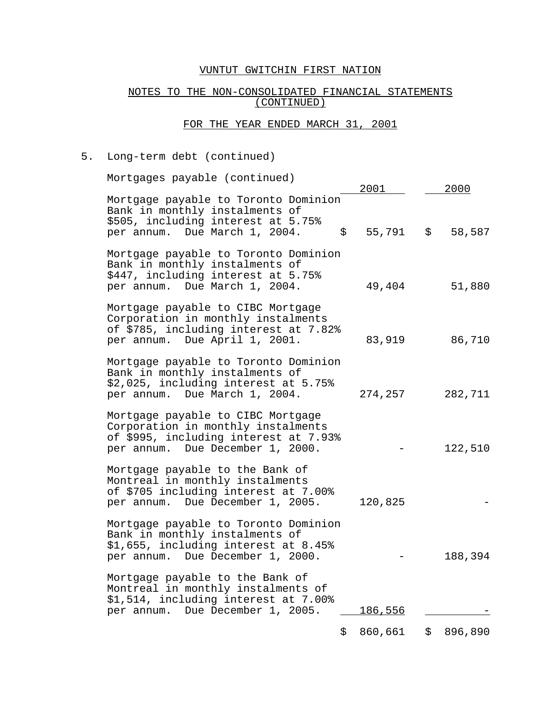# NOTES TO THE NON-CONSOLIDATED FINANCIAL STATEMENTS (CONTINUED)

# FOR THE YEAR ENDED MARCH 31, 2001

# 5. Long-term debt (continued)

| Mortgages payable (continued)                                                                                                                        | 2001    |                                              |
|------------------------------------------------------------------------------------------------------------------------------------------------------|---------|----------------------------------------------|
| Mortgage payable to Toronto Dominion<br>Bank in monthly instalments of<br>\$505, including interest at 5.75%<br>per annum. Due March 1, 2004.<br>\$  | 55,791  | <u>2000</u><br>$\ddot{\mathsf{S}}$<br>58,587 |
| Mortgage payable to Toronto Dominion<br>Bank in monthly instalments of<br>\$447, including interest at 5.75%<br>per annum. Due March 1, 2004.        | 49,404  | 51,880                                       |
| Mortgage payable to CIBC Mortgage<br>Corporation in monthly instalments<br>of \$785, including interest at 7.82%<br>per annum. Due April 1, 2001.    | 83,919  | 86,710                                       |
| Mortgage payable to Toronto Dominion<br>Bank in monthly instalments of<br>\$2,025, including interest at 5.75%<br>per annum. Due March 1, 2004.      | 274,257 | 282,711                                      |
| Mortgage payable to CIBC Mortgage<br>Corporation in monthly instalments<br>of \$995, including interest at 7.93%<br>per annum. Due December 1, 2000. |         | 122,510                                      |
| Mortgage payable to the Bank of<br>Montreal in monthly instalments<br>of \$705 including interest at 7.00%<br>per annum. Due December 1, 2005.       | 120,825 |                                              |
| Mortgage payable to Toronto Dominion<br>Bank in monthly instalments of<br>\$1,655, including interest at 8.45%<br>per annum. Due December 1, 2000.   |         | 188,394                                      |
| Mortgage payable to the Bank of<br>Montreal in monthly instalments of<br>\$1,514, including interest at 7.00%<br>per annum. Due December 1, 2005.    | 186,556 |                                              |
| \$                                                                                                                                                   | 860,661 | 896,890<br>\$                                |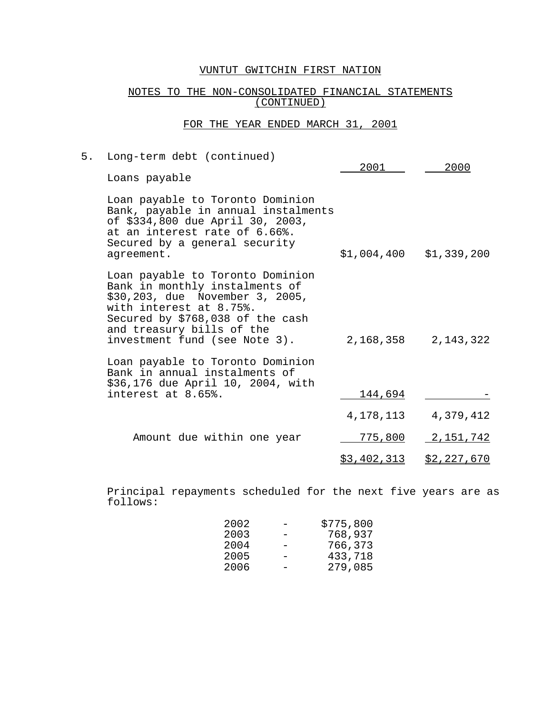# NOTES TO THE NON-CONSOLIDATED FINANCIAL STATEMENTS (CONTINUED)

# FOR THE YEAR ENDED MARCH 31, 2001

| 5. | Long-term debt (continued)                                                                                                                                                                                                         | 2001               | 2000                      |  |
|----|------------------------------------------------------------------------------------------------------------------------------------------------------------------------------------------------------------------------------------|--------------------|---------------------------|--|
|    | Loans payable                                                                                                                                                                                                                      |                    |                           |  |
|    | Loan payable to Toronto Dominion<br>Bank, payable in annual instalments<br>of \$334,800 due April 30, 2003,<br>at an interest rate of 6.66%.<br>Secured by a general security<br>agreement.                                        |                    | $$1,004,400$ $$1,339,200$ |  |
|    | Loan payable to Toronto Dominion<br>Bank in monthly instalments of<br>\$30,203, due November 3, 2005,<br>with interest at 8.75%.<br>Secured by \$768,038 of the cash<br>and treasury bills of the<br>investment fund (see Note 3). |                    | 2, 168, 358 2, 143, 322   |  |
|    | Loan payable to Toronto Dominion<br>Bank in annual instalments of<br>\$36,176 due April 10, 2004, with<br>interest at 8.65%.                                                                                                       | 144,694            |                           |  |
|    |                                                                                                                                                                                                                                    | 4,178,113          | 4,379,412                 |  |
|    | Amount due within one year                                                                                                                                                                                                         | 775,800            | <u>2,151,742</u>          |  |
|    |                                                                                                                                                                                                                                    | <u>\$3,402,313</u> | <u>\$2,227,670</u>        |  |

Principal repayments scheduled for the next five years are as follows:

| 2002 | \$775,800 |
|------|-----------|
| 2003 | 768,937   |
| 2004 | 766,373   |
| 2005 | 433,718   |
| 2006 | 279,085   |